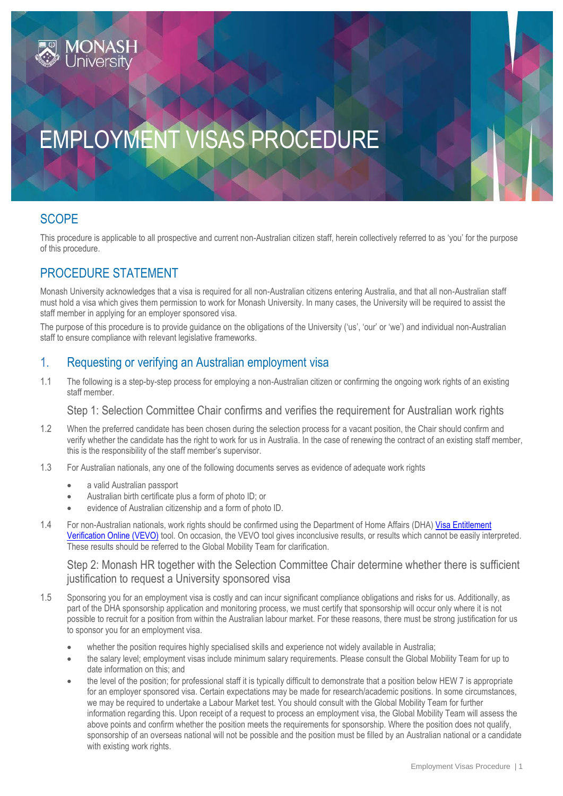# EMPLOYMENT VISAS PROCEDURE

## **SCOPE**

This procedure is applicable to all prospective and current non-Australian citizen staff, herein collectively referred to as 'you' for the purpose of this procedure.

## PROCEDURE STATEMENT

Monash University acknowledges that a visa is required for all non-Australian citizens entering Australia, and that all non-Australian staff must hold a visa which gives them permission to work for Monash University. In many cases, the University will be required to assist the staff member in applying for an employer sponsored visa.

The purpose of this procedure is to provide guidance on the obligations of the University ('us', 'our' or 'we') and individual non-Australian staff to ensure compliance with relevant legislative frameworks.

### 1. Requesting or verifying an Australian employment visa

1.1 The following is a step-by-step process for employing a non-Australian citizen or confirming the ongoing work rights of an existing staff member.

Step 1: Selection Committee Chair confirms and verifies the requirement for Australian work rights

- 1.2 When the preferred candidate has been chosen during the selection process for a vacant position, the Chair should confirm and verify whether the candidate has the right to work for us in Australia. In the case of renewing the contract of an existing staff member, this is the responsibility of the staff member's supervisor.
- 1.3 For Australian nationals, any one of the following documents serves as evidence of adequate work rights
	- a valid Australian passport
	- Australian birth certificate plus a form of photo ID; or
	- evidence of Australian citizenship and a form of photo ID.
- 1.4 For non-Australian nationals, work rights should be confirmed using the Department of Home Affairs (DHA[\) Visa Entitlement](https://www.border.gov.au/Busi/Visa)  [Verification Online \(VEVO\)](https://www.border.gov.au/Busi/Visa) tool. On occasion, the VEVO tool gives inconclusive results, or results which cannot be easily interpreted. These results should be referred to the Global Mobility Team for clarification.

Step 2: Monash HR together with the Selection Committee Chair determine whether there is sufficient justification to request a University sponsored visa

- 1.5 Sponsoring you for an employment visa is costly and can incur significant compliance obligations and risks for us. Additionally, as part of the DHA sponsorship application and monitoring process, we must certify that sponsorship will occur only where it is not possible to recruit for a position from within the Australian labour market. For these reasons, there must be strong justification for us to sponsor you for an employment visa.
	- whether the position requires highly specialised skills and experience not widely available in Australia;
	- the salary level; employment visas include minimum salary requirements. Please consult the Global Mobility Team for up to date information on this; and
	- the level of the position; for professional staff it is typically difficult to demonstrate that a position below HEW 7 is appropriate for an employer sponsored visa. Certain expectations may be made for research/academic positions. In some circumstances, we may be required to undertake a Labour Market test. You should consult with the Global Mobility Team for further information regarding this. Upon receipt of a request to process an employment visa, the Global Mobility Team will assess the above points and confirm whether the position meets the requirements for sponsorship. Where the position does not qualify, sponsorship of an overseas national will not be possible and the position must be filled by an Australian national or a candidate with existing work rights.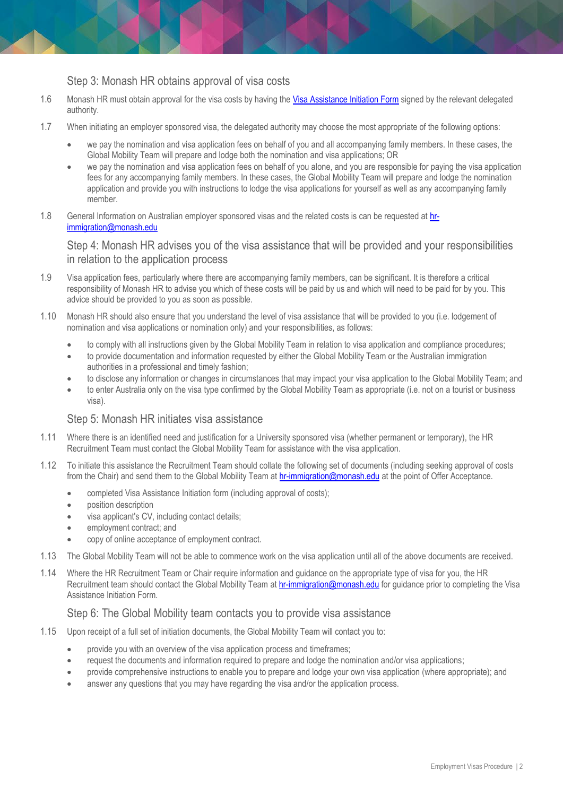#### Step 3: Monash HR obtains approval of visa costs

- 1.6 Monash HR must obtain approval for the visa costs by having the [Visa Assistance Initiation Form](http://www.intranet.monash/hr/tools-and-resources/forms) signed by the relevant delegated authority.
- 1.7 When initiating an employer sponsored visa, the delegated authority may choose the most appropriate of the following options:
	- we pay the nomination and visa application fees on behalf of you and all accompanying family members. In these cases, the Global Mobility Team will prepare and lodge both the nomination and visa applications; OR
	- we pay the nomination and visa application fees on behalf of you alone, and you are responsible for paying the visa application fees for any accompanying family members. In these cases, the Global Mobility Team will prepare and lodge the nomination application and provide you with instructions to lodge the visa applications for yourself as well as any accompanying family member.
- 1.8 General Information on Australian employer sponsored visas and the related costs is can be requested at [hr](mailto:hr-immigration@monash.edu)[immigration@monash.edu](mailto:hr-immigration@monash.edu)

Step 4: Monash HR advises you of the visa assistance that will be provided and your responsibilities in relation to the application process

- 1.9 Visa application fees, particularly where there are accompanying family members, can be significant. It is therefore a critical responsibility of Monash HR to advise you which of these costs will be paid by us and which will need to be paid for by you. This advice should be provided to you as soon as possible.
- 1.10 Monash HR should also ensure that you understand the level of visa assistance that will be provided to you (i.e. lodgement of nomination and visa applications or nomination only) and your responsibilities, as follows:
	- to comply with all instructions given by the Global Mobility Team in relation to visa application and compliance procedures;
	- to provide documentation and information requested by either the Global Mobility Team or the Australian immigration authorities in a professional and timely fashion;
	- to disclose any information or changes in circumstances that may impact your visa application to the Global Mobility Team; and
	- to enter Australia only on the visa type confirmed by the Global Mobility Team as appropriate (i.e. not on a tourist or business visa).

#### Step 5: Monash HR initiates visa assistance

- 1.11 Where there is an identified need and justification for a University sponsored visa (whether permanent or temporary), the HR Recruitment Team must contact the Global Mobility Team for assistance with the visa application.
- 1.12 To initiate this assistance the Recruitment Team should collate the following set of documents (including seeking approval of costs from the Chair) and send them to the Global Mobility Team at [hr-immigration@monash.edu](mailto:hr-immigration@monash.edu) at the point of Offer Acceptance.
	- completed Visa Assistance Initiation form (including approval of costs);
	- **•** position description
	- visa applicant's CV, including contact details;
	- employment contract; and
	- copy of online acceptance of employment contract.
- 1.13 The Global Mobility Team will not be able to commence work on the visa application until all of the above documents are received.
- 1.14 Where the HR Recruitment Team or Chair require information and guidance on the appropriate type of visa for you, the HR Recruitment team should contact the Global Mobility Team at **[hr-immigration@monash.edu](mailto:hr-immigration@monash.edu)** for guidance prior to completing the Visa Assistance Initiation Form.

#### Step 6: The Global Mobility team contacts you to provide visa assistance

- 1.15 Upon receipt of a full set of initiation documents, the Global Mobility Team will contact you to:
	- provide you with an overview of the visa application process and timeframes;
	- request the documents and information required to prepare and lodge the nomination and/or visa applications;
	- provide comprehensive instructions to enable you to prepare and lodge your own visa application (where appropriate); and
	- answer any questions that you may have regarding the visa and/or the application process.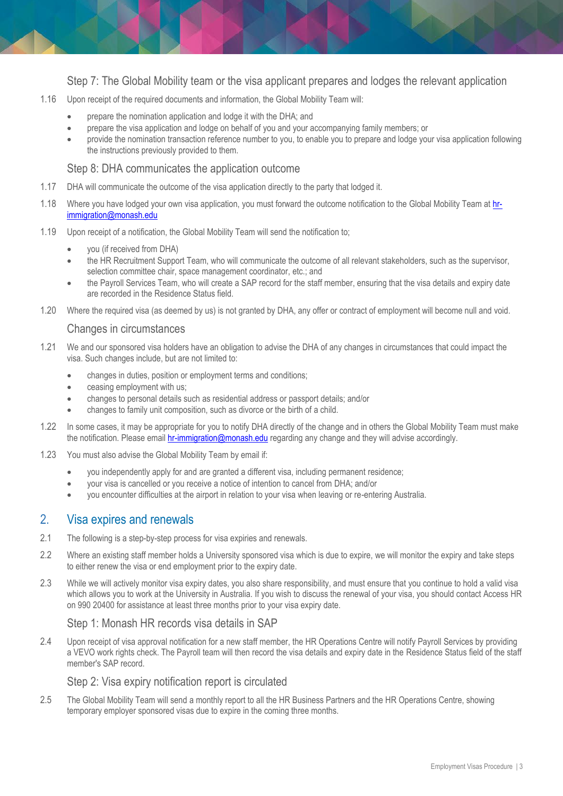Step 7: The Global Mobility team or the visa applicant prepares and lodges the relevant application

- 1.16 Upon receipt of the required documents and information, the Global Mobility Team will:
	- prepare the nomination application and lodge it with the DHA; and
	- prepare the visa application and lodge on behalf of you and your accompanying family members; or
	- provide the nomination transaction reference number to you, to enable you to prepare and lodge your visa application following the instructions previously provided to them.

#### Step 8: DHA communicates the application outcome

- 1.17 DHA will communicate the outcome of the visa application directly to the party that lodged it.
- 1.18 Where you have lodged your own visa application, you must forward the outcome notification to the Global Mobility Team at [hr](mailto:hr-immigration@monash.edu)[immigration@monash.edu](mailto:hr-immigration@monash.edu)
- 1.19 Upon receipt of a notification, the Global Mobility Team will send the notification to;
	- you (if received from DHA)
	- the HR Recruitment Support Team, who will communicate the outcome of all relevant stakeholders, such as the supervisor, selection committee chair, space management coordinator, etc.; and
	- the Payroll Services Team, who will create a SAP record for the staff member, ensuring that the visa details and expiry date are recorded in the Residence Status field.
- 1.20 Where the required visa (as deemed by us) is not granted by DHA, any offer or contract of employment will become null and void.

#### Changes in circumstances

- 1.21 We and our sponsored visa holders have an obligation to advise the DHA of any changes in circumstances that could impact the visa. Such changes include, but are not limited to:
	- changes in duties, position or employment terms and conditions;
	- ceasing employment with us;
	- changes to personal details such as residential address or passport details; and/or
	- changes to family unit composition, such as divorce or the birth of a child.
- 1.22 In some cases, it may be appropriate for you to notify DHA directly of the change and in others the Global Mobility Team must make the notification. Please email **hr-immigration@monash.edu** regarding any change and they will advise accordingly.
- 1.23 You must also advise the Global Mobility Team by email if:
	- you independently apply for and are granted a different visa, including permanent residence;
	- your visa is cancelled or you receive a notice of intention to cancel from DHA; and/or
	- you encounter difficulties at the airport in relation to your visa when leaving or re-entering Australia.

#### 2. Visa expires and renewals

- 2.1 The following is a step-by-step process for visa expiries and renewals.
- 2.2 Where an existing staff member holds a University sponsored visa which is due to expire, we will monitor the expiry and take steps to either renew the visa or end employment prior to the expiry date.
- 2.3 While we will actively monitor visa expiry dates, you also share responsibility, and must ensure that you continue to hold a valid visa which allows you to work at the University in Australia. If you wish to discuss the renewal of your visa, you should contact Access HR on 990 20400 for assistance at least three months prior to your visa expiry date.

#### Step 1: Monash HR records visa details in SAP

2.4 Upon receipt of visa approval notification for a new staff member, the HR Operations Centre will notify Payroll Services by providing a VEVO work rights check. The Payroll team will then record the visa details and expiry date in the Residence Status field of the staff member's SAP record.

#### Step 2: Visa expiry notification report is circulated

2.5 The Global Mobility Team will send a monthly report to all the HR Business Partners and the HR Operations Centre, showing temporary employer sponsored visas due to expire in the coming three months.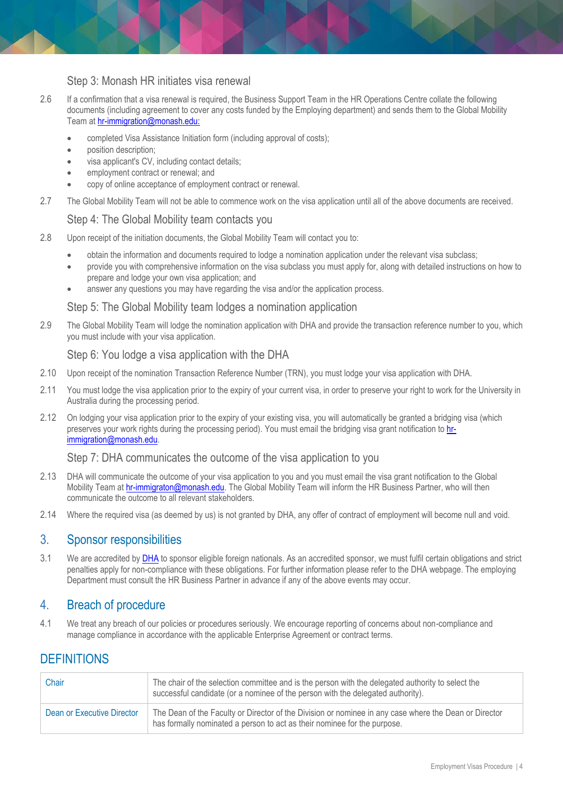#### Step 3: Monash HR initiates visa renewal

- 2.6 If a confirmation that a visa renewal is required, the Business Support Team in the HR Operations Centre collate the following documents (including agreement to cover any costs funded by the Employing department) and sends them to the Global Mobility Team at [hr-immigration@monash.edu:](mailto:hr-immigration@monash.edu)
	- completed Visa Assistance Initiation form (including approval of costs);
	- position description;
	- visa applicant's CV, including contact details;
	- employment contract or renewal; and
	- copy of online acceptance of employment contract or renewal.
- 2.7 The Global Mobility Team will not be able to commence work on the visa application until all of the above documents are received.

#### Step 4: The Global Mobility team contacts you

- 2.8 Upon receipt of the initiation documents, the Global Mobility Team will contact you to:
	- obtain the information and documents required to lodge a nomination application under the relevant visa subclass;
	- provide you with comprehensive information on the visa subclass you must apply for, along with detailed instructions on how to prepare and lodge your own visa application; and
	- answer any questions you may have regarding the visa and/or the application process.

#### Step 5: The Global Mobility team lodges a nomination application

2.9 The Global Mobility Team will lodge the nomination application with DHA and provide the transaction reference number to you, which you must include with your visa application.

#### Step 6: You lodge a visa application with the DHA

- 2.10 Upon receipt of the nomination Transaction Reference Number (TRN), you must lodge your visa application with DHA.
- 2.11 You must lodge the visa application prior to the expiry of your current visa, in order to preserve your right to work for the University in Australia during the processing period.
- 2.12 On lodging your visa application prior to the expiry of your existing visa, you will automatically be granted a bridging visa (which preserves your work rights during the processing period). You must email the bridging visa grant notification to [hr](mailto:hr-immigration@monash.edu)[immigration@monash.edu.](mailto:hr-immigration@monash.edu)

#### Step 7: DHA communicates the outcome of the visa application to you

- 2.13 DHA will communicate the outcome of your visa application to you and you must email the visa grant notification to the Global Mobility Team at [hr-immigraton@monash.edu.](mailto:hr-immigraton@monash.edu) The Global Mobility Team will inform the HR Business Partner, who will then communicate the outcome to all relevant stakeholders.
- 2.14 Where the required visa (as deemed by us) is not granted by DHA, any offer of contract of employment will become null and void.

#### 3. Sponsor responsibilities

3.1 We are accredited by **[DHA](https://www.border.gov.au/Busi/Empl)** to sponsor eligible foreign nationals. As an accredited sponsor, we must fulfil certain obligations and strict penalties apply for non-compliance with these obligations. For further information please refer to the DHA webpage. The employing Department must consult the HR Business Partner in advance if any of the above events may occur.

#### 4. Breach of procedure

4.1 We treat any breach of our policies or procedures seriously. We encourage reporting of concerns about non-compliance and manage compliance in accordance with the applicable Enterprise Agreement or contract terms.

## **DEFINITIONS**

| Chair                      | The chair of the selection committee and is the person with the delegated authority to select the<br>successful candidate (or a nominee of the person with the delegated authority). |
|----------------------------|--------------------------------------------------------------------------------------------------------------------------------------------------------------------------------------|
| Dean or Executive Director | The Dean of the Faculty or Director of the Division or nominee in any case where the Dean or Director<br>has formally nominated a person to act as their nominee for the purpose.    |